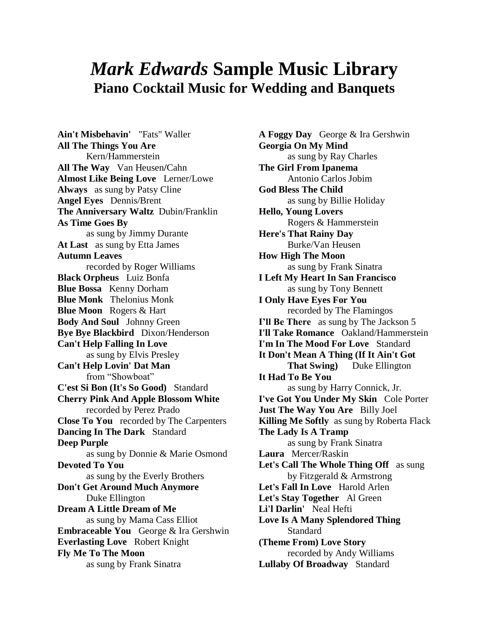## *Mark Edwards* **Sample Music Library Piano Cocktail Music for Wedding and Banquets**

**Ain't Misbehavin'** "Fats" Waller **All The Things You Are** Kern/Hammerstein **All The Way** Van Heusen**/**Cahn **Almost Like Being Love** Lerner/Lowe **Always** as sung by Patsy Cline **Angel Eyes** Dennis/Brent **The Anniversary Waltz** Dubin/Franklin **As Time Goes By** as sung by Jimmy Durante **At Last** as sung by Etta James **Autumn Leaves** recorded by Roger Williams **Black Orpheus** Luiz Bonfa **Blue Bossa** Kenny Dorham **Blue Monk** Thelonius Monk **Blue Moon** Rogers & Hart **Body And Soul** Johnny Green **Bye Bye Blackbird** Dixon/Henderson **Can't Help Falling In Love** as sung by Elvis Presley **Can't Help Lovin' Dat Man** from "Showboat" **C'est Si Bon (It's So Good)** Standard **Cherry Pink And Apple Blossom White** recorded by Perez Prado **Close To You** recorded by The Carpenters **Dancing In The Dark** Standard **Deep Purple** as sung by Donnie & Marie Osmond **Devoted To You** as sung by the Everly Brothers **Don't Get Around Much Anymore** Duke Ellington **Dream A Little Dream of Me** as sung by Mama Cass Elliot **Embraceable You** George & Ira Gershwin **Everlasting Love** Robert Knight **Fly Me To The Moon** as sung by Frank Sinatra

**A Foggy Day** George & Ira Gershwin **Georgia On My Mind** as sung by Ray Charles **The Girl From Ipanema** Antonio Carlos Jobim **God Bless The Child** as sung by Billie Holiday **Hello, Young Lovers** Rogers & Hammerstein **Here's That Rainy Day** Burke/Van Heusen **How High The Moon**  as sung by Frank Sinatra **I Left My Heart In San Francisco** as sung by Tony Bennett **I Only Have Eyes For You** recorded by The Flamingos **I'll Be There** as sung by The Jackson 5 **I'll Take Romance** Oakland/Hammerstein **I'm In The Mood For Love** Standard **It Don't Mean A Thing (If It Ain't Got That Swing** Duke Ellington **It Had To Be You** as sung by Harry Connick, Jr. **I've Got You Under My Skin** Cole Porter **Just The Way You Are** Billy Joel **Killing Me Softly** as sung by Roberta Flack **The Lady Is A Tramp**  as sung by Frank Sinatra **Laura** Mercer/Raskin **Let's Call The Whole Thing Off** as sung by Fitzgerald & Armstrong **Let's Fall In Love** Harold Arlen **Let's Stay Together** Al Green **Li'l Darlin'** Neal Hefti **Love Is A Many Splendored Thing**  Standard **(Theme From) Love Story** recorded by Andy Williams **Lullaby Of Broadway** Standard